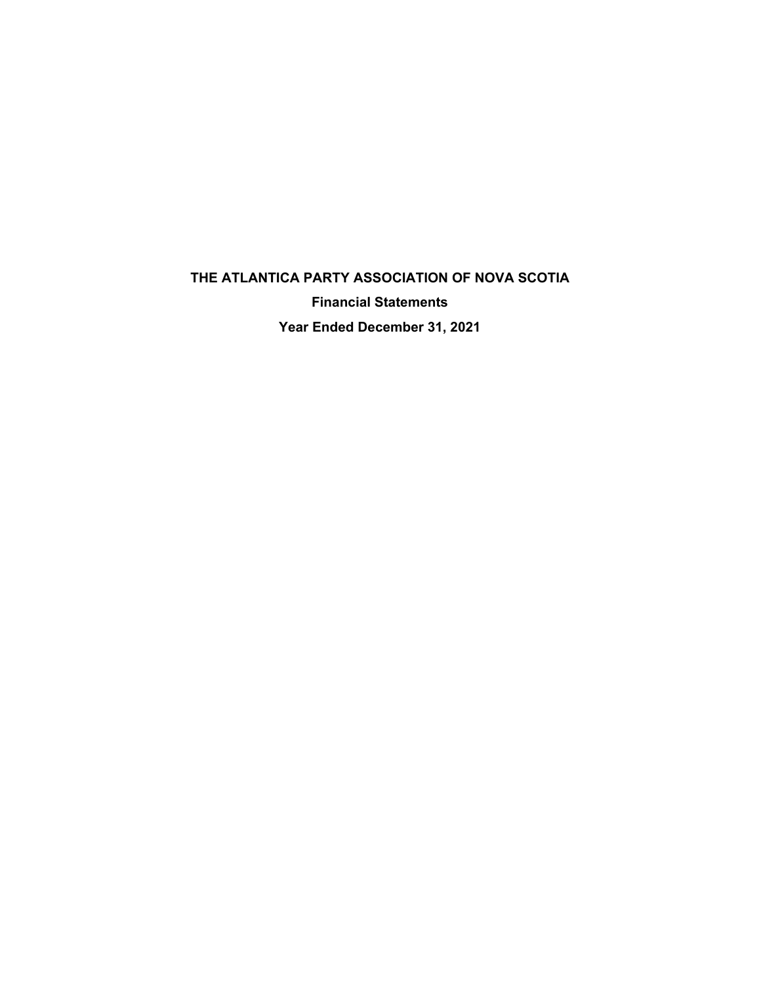# **THE ATLANTICA PARTY ASSOCIATION OF NOVA SCOTIA Financial Statements Year Ended December 31, 2021**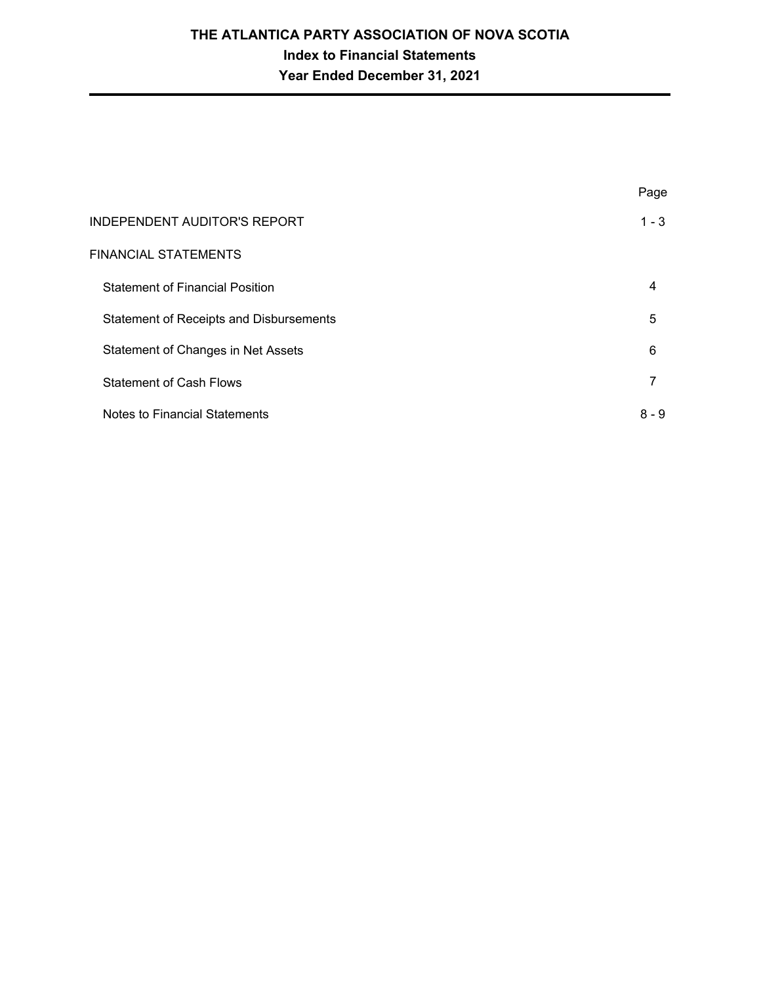# **THE ATLANTICA PARTY ASSOCIATION OF NOVA SCOTIA Index to Financial Statements Year Ended December 31, 2021**

| <b>INDEPENDENT AUDITOR'S REPORT</b>            | $1 - 3$ |
|------------------------------------------------|---------|
| FINANCIAL STATEMENTS                           |         |
| <b>Statement of Financial Position</b>         | 4       |
| <b>Statement of Receipts and Disbursements</b> | 5       |
| Statement of Changes in Net Assets             | 6       |
| <b>Statement of Cash Flows</b>                 |         |
| <b>Notes to Financial Statements</b>           | $8 - 9$ |

Page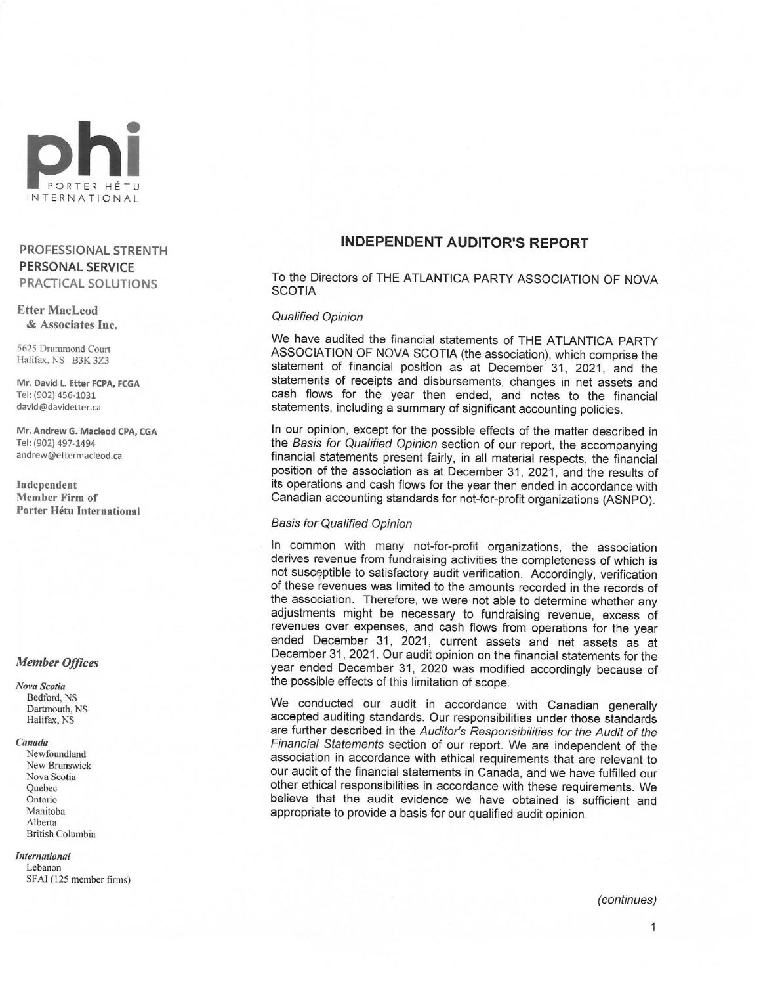

#### PROFESSIONAL STRENTH **PERSONAL SERVICE** PRACTICAL SOLUTIONS

**Etter MacLeod** & Associates Inc.

5625 Drummond Court Halifax, NS B3K 3Z3

Mr. David L. Etter FCPA, FCGA Tel: (902) 456-1031 david@davidetter.ca

Mr. Andrew G. Macleod CPA, CGA Tel: (902) 497-1494 andrew@ettermacleod.ca

Independent Member Firm of Porter Hétu International

#### **Member Offices**

Nova Scotia Bedford, NS Dartmouth, NS Halifax, NS

#### Canada

Newfoundland New Brunswick Nova Scotia Quebec Ontario Manitoba Alberta British Columbia

#### **International**

Lebanon SFAI (125 member firms)

## **INDEPENDENT AUDITOR'S REPORT**

To the Directors of THE ATLANTICA PARTY ASSOCIATION OF NOVA **SCOTIA** 

#### **Qualified Opinion**

We have audited the financial statements of THE ATLANTICA PARTY ASSOCIATION OF NOVA SCOTIA (the association), which comprise the statement of financial position as at December 31, 2021, and the statements of receipts and disbursements, changes in net assets and cash flows for the year then ended, and notes to the financial statements, including a summary of significant accounting policies.

In our opinion, except for the possible effects of the matter described in the Basis for Qualified Opinion section of our report, the accompanying financial statements present fairly, in all material respects, the financial position of the association as at December 31, 2021, and the results of its operations and cash flows for the year then ended in accordance with Canadian accounting standards for not-for-profit organizations (ASNPO).

#### **Basis for Qualified Opinion**

In common with many not-for-profit organizations, the association derives revenue from fundraising activities the completeness of which is not susceptible to satisfactory audit verification. Accordingly, verification of these revenues was limited to the amounts recorded in the records of the association. Therefore, we were not able to determine whether any adjustments might be necessary to fundraising revenue, excess of revenues over expenses, and cash flows from operations for the year ended December 31, 2021, current assets and net assets as at December 31, 2021. Our audit opinion on the financial statements for the year ended December 31, 2020 was modified accordingly because of the possible effects of this limitation of scope.

We conducted our audit in accordance with Canadian generally accepted auditing standards. Our responsibilities under those standards are further described in the Auditor's Responsibilities for the Audit of the Financial Statements section of our report. We are independent of the association in accordance with ethical requirements that are relevant to our audit of the financial statements in Canada, and we have fulfilled our other ethical responsibilities in accordance with these requirements. We believe that the audit evidence we have obtained is sufficient and appropriate to provide a basis for our qualified audit opinion.

*(continues)*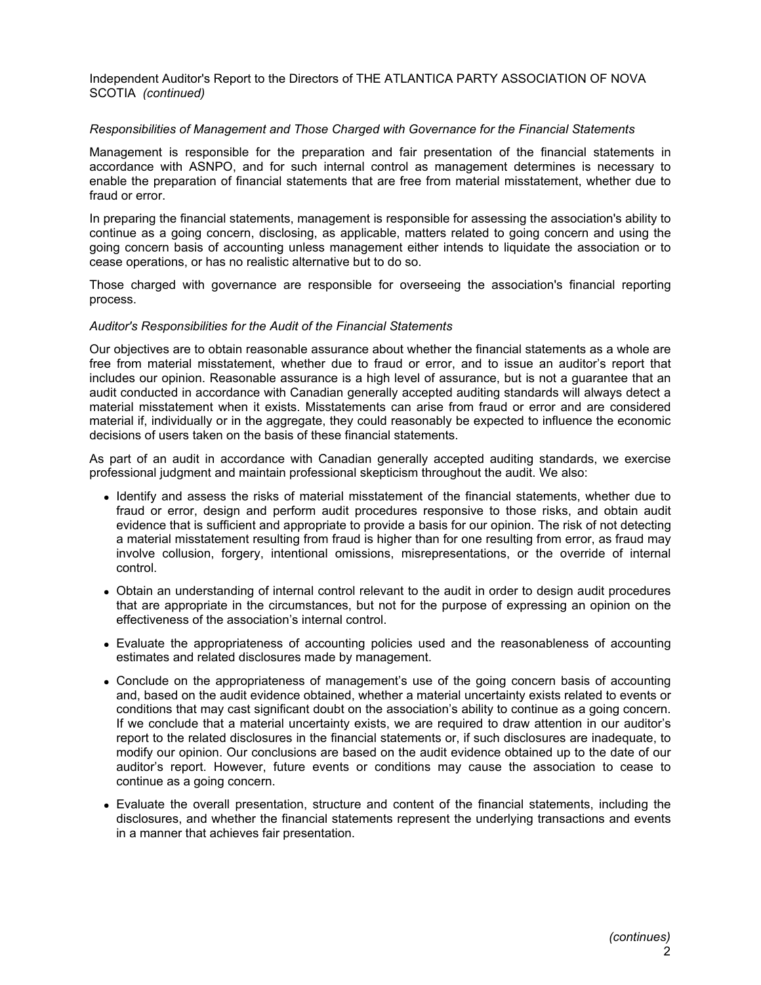Independent Auditor's Report to the Directors of THE ATLANTICA PARTY ASSOCIATION OF NOVA SCOTIA *(continued)*

### *Responsibilities of Management and Those Charged with Governance for the Financial Statements*

Management is responsible for the preparation and fair presentation of the financial statements in accordance with ASNPO, and for such internal control as management determines is necessary to enable the preparation of financial statements that are free from material misstatement, whether due to fraud or error.

In preparing the financial statements, management is responsible for assessing the association's ability to continue as a going concern, disclosing, as applicable, matters related to going concern and using the going concern basis of accounting unless management either intends to liquidate the association or to cease operations, or has no realistic alternative but to do so.

Those charged with governance are responsible for overseeing the association's financial reporting process.

#### *Auditor's Responsibilities for the Audit of the Financial Statements*

Our objectives are to obtain reasonable assurance about whether the financial statements as a whole are free from material misstatement, whether due to fraud or error, and to issue an auditor's report that includes our opinion. Reasonable assurance is a high level of assurance, but is not a guarantee that an audit conducted in accordance with Canadian generally accepted auditing standards will always detect a material misstatement when it exists. Misstatements can arise from fraud or error and are considered material if, individually or in the aggregate, they could reasonably be expected to influence the economic decisions of users taken on the basis of these financial statements.

As part of an audit in accordance with Canadian generally accepted auditing standards, we exercise professional judgment and maintain professional skepticism throughout the audit. We also:

- Identify and assess the risks of material misstatement of the financial statements, whether due to fraud or error, design and perform audit procedures responsive to those risks, and obtain audit evidence that is sufficient and appropriate to provide a basis for our opinion. The risk of not detecting a material misstatement resulting from fraud is higher than for one resulting from error, as fraud may involve collusion, forgery, intentional omissions, misrepresentations, or the override of internal control.
- Obtain an understanding of internal control relevant to the audit in order to design audit procedures that are appropriate in the circumstances, but not for the purpose of expressing an opinion on the effectiveness of the association's internal control.
- Evaluate the appropriateness of accounting policies used and the reasonableness of accounting estimates and related disclosures made by management.
- Conclude on the appropriateness of management's use of the going concern basis of accounting and, based on the audit evidence obtained, whether a material uncertainty exists related to events or conditions that may cast significant doubt on the association's ability to continue as a going concern. If we conclude that a material uncertainty exists, we are required to draw attention in our auditor's report to the related disclosures in the financial statements or, if such disclosures are inadequate, to modify our opinion. Our conclusions are based on the audit evidence obtained up to the date of our auditor's report. However, future events or conditions may cause the association to cease to continue as a going concern.
- Evaluate the overall presentation, structure and content of the financial statements, including the disclosures, and whether the financial statements represent the underlying transactions and events in a manner that achieves fair presentation.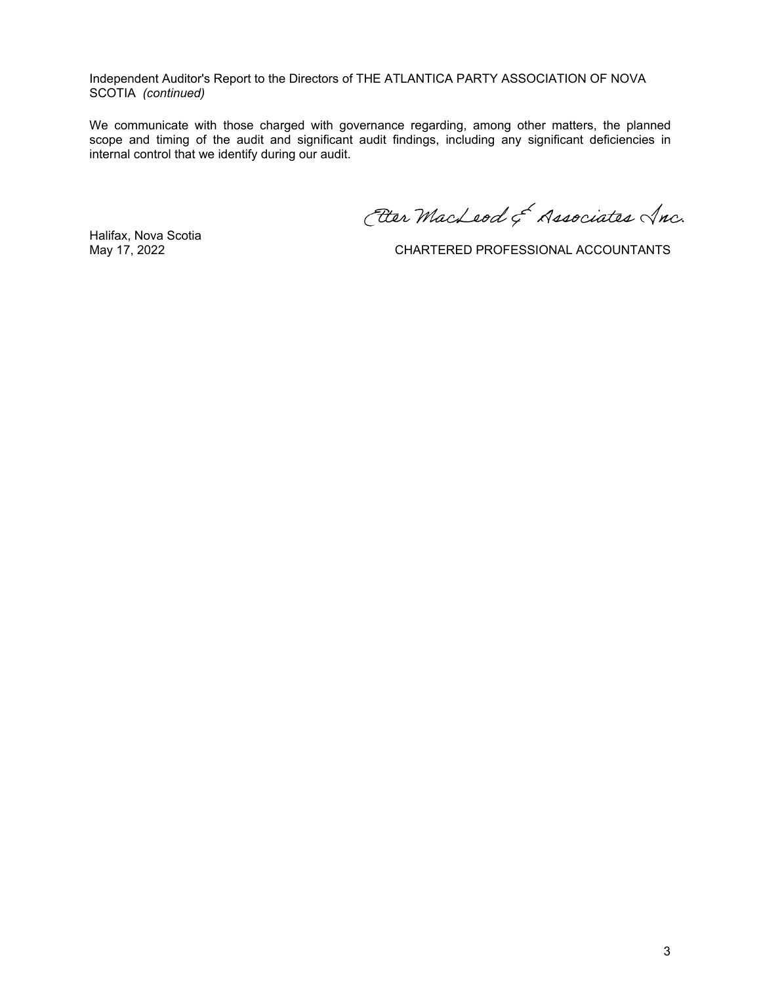Independent Auditor's Report to the Directors of THE ATLANTICA PARTY ASSOCIATION OF NOVA SCOTIA *(continued)*

We communicate with those charged with governance regarding, among other matters, the planned scope and timing of the audit and significant audit findings, including any significant deficiencies in internal control that we identify during our audit.

Etter MacLeod & Associates Anc.

Halifax, Nova Scotia

May 17, 2022 2008 CHARTERED PROFESSIONAL ACCOUNTANTS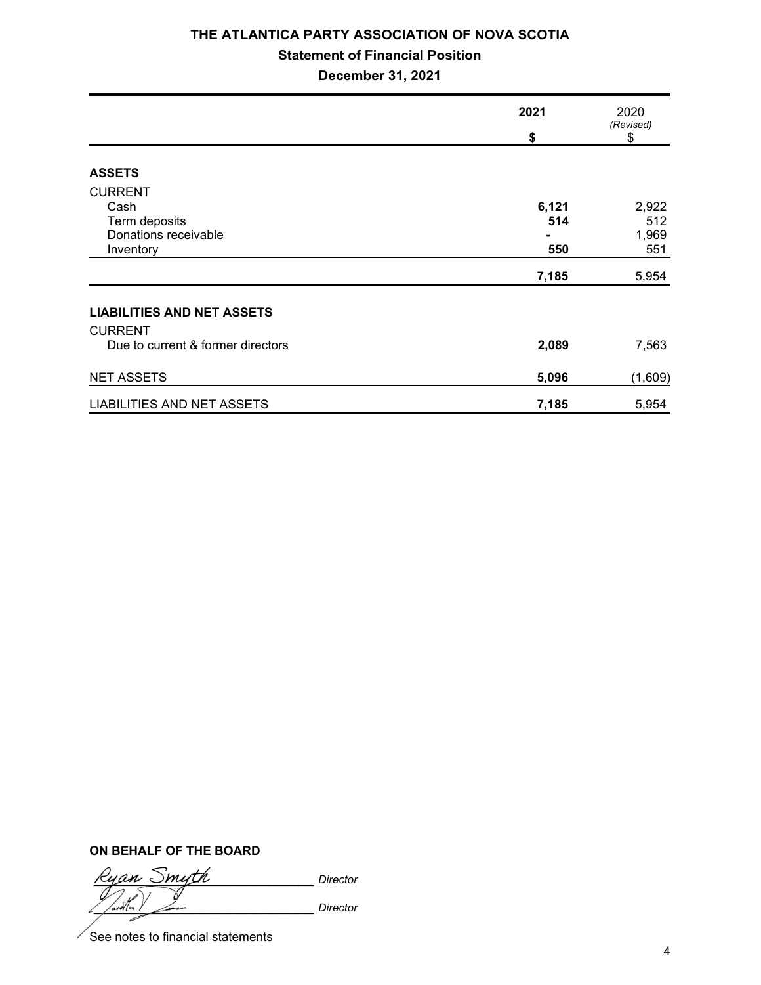# **THE ATLANTICA PARTY ASSOCIATION OF NOVA SCOTIA**

## **Statement of Financial Position**

**December 31, 2021**

|                                   | 2021<br>\$ | 2020<br>(Revised)<br>\$ |
|-----------------------------------|------------|-------------------------|
|                                   |            |                         |
|                                   |            |                         |
| <b>ASSETS</b>                     |            |                         |
| <b>CURRENT</b>                    |            |                         |
| Cash                              | 6,121      | 2,922                   |
| Term deposits                     | 514        | 512                     |
| Donations receivable              |            | 1,969                   |
| Inventory                         | 550        | 551                     |
|                                   | 7,185      | 5,954                   |
| <b>LIABILITIES AND NET ASSETS</b> |            |                         |
| <b>CURRENT</b>                    |            |                         |
| Due to current & former directors | 2,089      | 7,563                   |
| <b>NET ASSETS</b>                 | 5,096      | (1,609)                 |
| <b>LIABILITIES AND NET ASSETS</b> | 7,185      | 5,954                   |

# **ON BEHALF OF THE BOARD**

\_\_\_\_\_\_\_\_\_\_\_\_\_\_\_\_\_\_\_\_\_\_\_\_\_\_\_\_\_ *Director*  \_\_\_\_\_\_\_\_\_\_\_\_\_\_\_\_\_\_\_\_\_\_\_\_\_\_\_\_\_ *Director* 

See notes to financial statements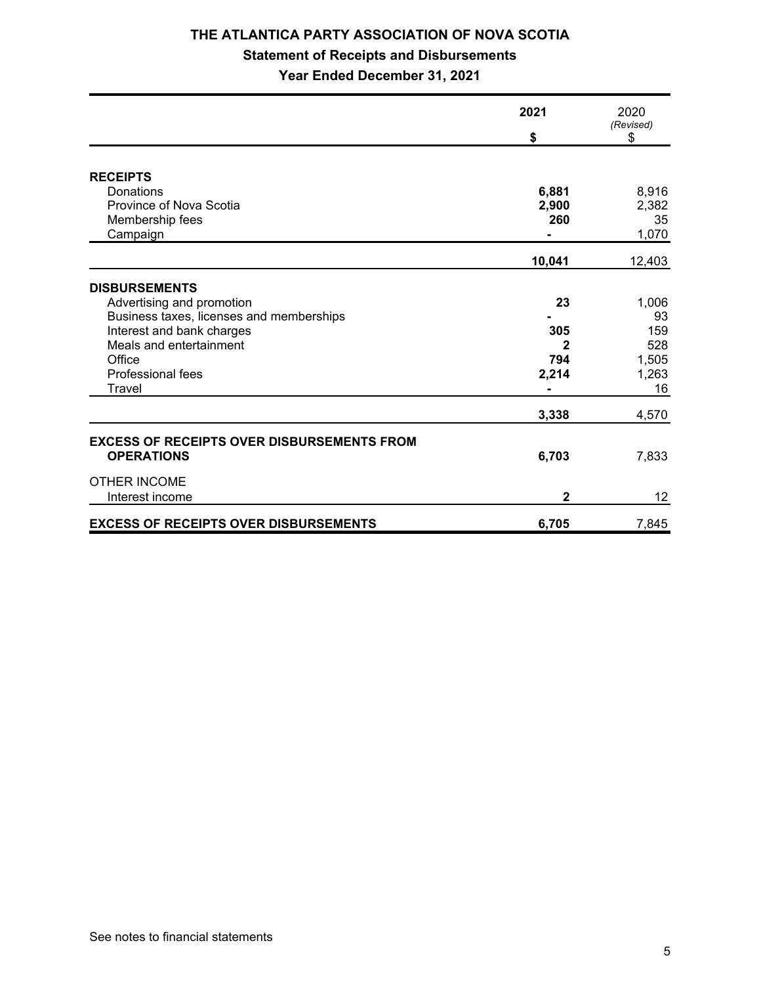# **THE ATLANTICA PARTY ASSOCIATION OF NOVA SCOTIA**

**Statement of Receipts and Disbursements**

**Year Ended December 31, 2021**

|                                                   | 2021         | 2020<br>(Revised) |
|---------------------------------------------------|--------------|-------------------|
|                                                   | \$           | \$                |
|                                                   |              |                   |
| <b>RECEIPTS</b>                                   |              |                   |
| Donations                                         | 6,881        | 8,916             |
| Province of Nova Scotia                           | 2,900        | 2,382             |
| Membership fees                                   | 260          | 35                |
| Campaign                                          |              | 1,070             |
|                                                   | 10,041       | 12,403            |
| <b>DISBURSEMENTS</b>                              |              |                   |
| Advertising and promotion                         | 23           | 1,006             |
| Business taxes, licenses and memberships          |              | 93                |
| Interest and bank charges                         | 305          | 159               |
| Meals and entertainment                           | $\mathbf{2}$ | 528               |
| Office                                            | 794          | 1,505             |
| Professional fees                                 | 2,214        | 1,263             |
| Travel                                            |              | 16                |
|                                                   | 3,338        | 4,570             |
| <b>EXCESS OF RECEIPTS OVER DISBURSEMENTS FROM</b> |              |                   |
| <b>OPERATIONS</b>                                 | 6,703        | 7,833             |
| <b>OTHER INCOME</b>                               |              |                   |
| Interest income                                   | $\mathbf{2}$ | 12                |
| <b>EXCESS OF RECEIPTS OVER DISBURSEMENTS</b>      | 6,705        | 7,845             |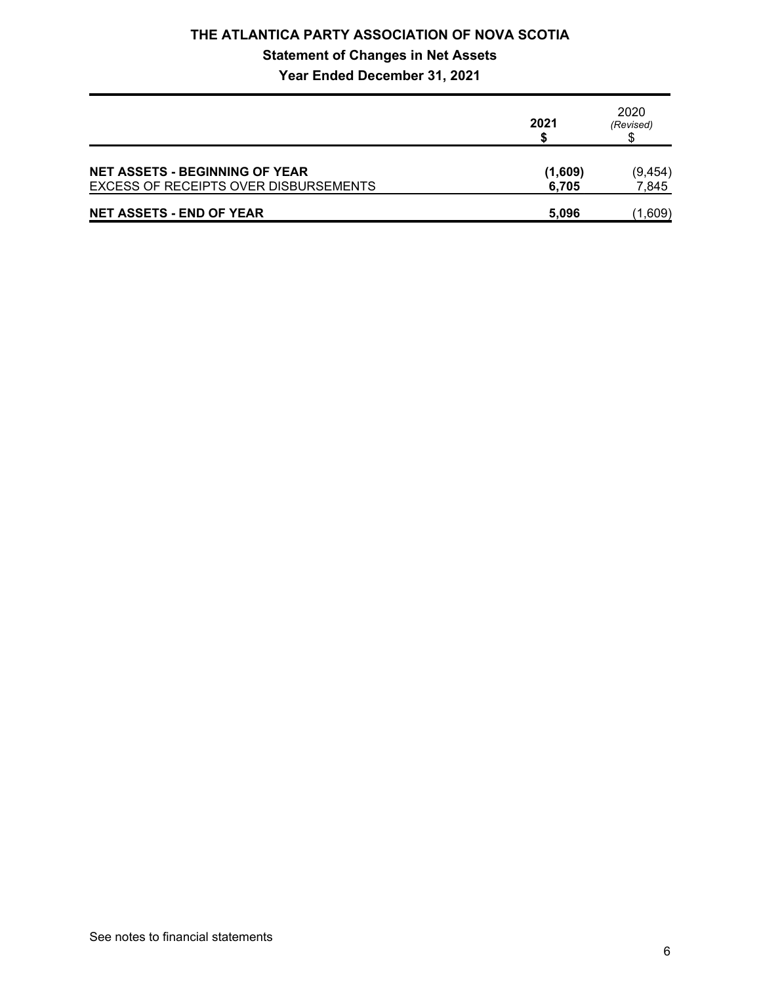# **THE ATLANTICA PARTY ASSOCIATION OF NOVA SCOTIA Statement of Changes in Net Assets Year Ended December 31, 2021**

|                                                                                | 2021             | 2020<br>(Revised) |
|--------------------------------------------------------------------------------|------------------|-------------------|
| <b>NET ASSETS - BEGINNING OF YEAR</b><br>EXCESS OF RECEIPTS OVER DISBURSEMENTS | (1,609)<br>6,705 | (9, 454)<br>7,845 |
| <b>NET ASSETS - END OF YEAR</b>                                                | 5,096            | (1,609)           |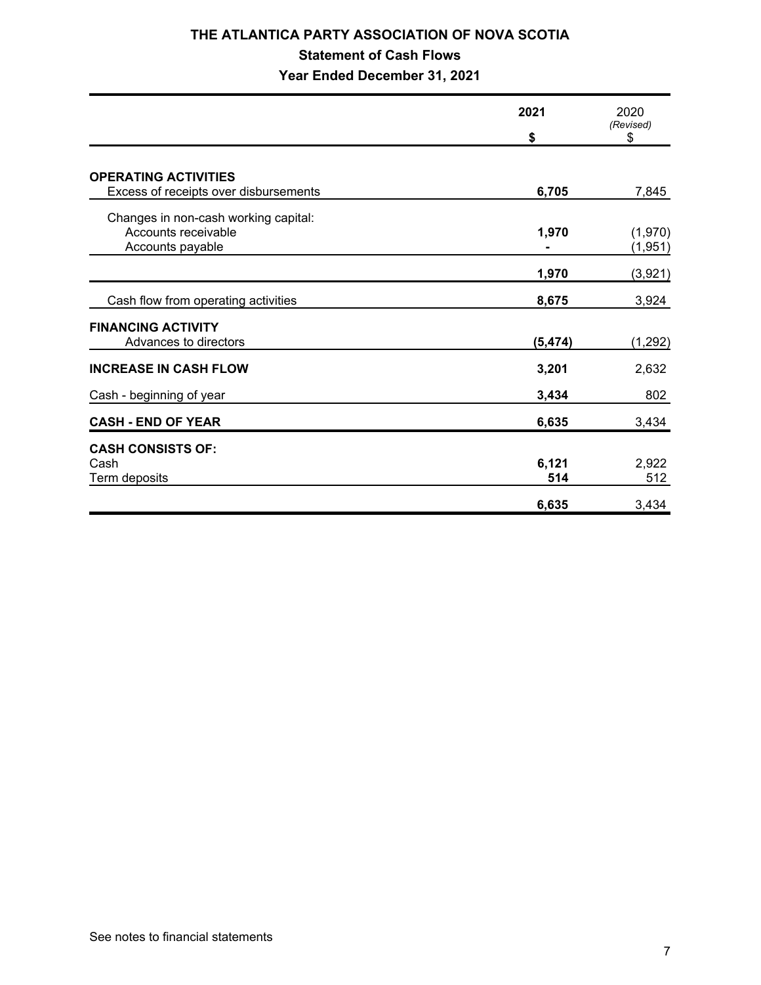# **THE ATLANTICA PARTY ASSOCIATION OF NOVA SCOTIA Statement of Cash Flows**

## **Year Ended December 31, 2021**

|                                                                      | 2021         | 2020                |
|----------------------------------------------------------------------|--------------|---------------------|
|                                                                      | \$           | (Revised)<br>\$     |
|                                                                      |              |                     |
| <b>OPERATING ACTIVITIES</b><br>Excess of receipts over disbursements | 6,705        | 7,845               |
| Changes in non-cash working capital:                                 |              |                     |
| Accounts receivable<br>Accounts payable                              | 1,970        | (1,970)<br>(1, 951) |
|                                                                      | 1,970        | (3,921)             |
| Cash flow from operating activities                                  | 8,675        | 3,924               |
| <b>FINANCING ACTIVITY</b><br>Advances to directors                   | (5, 474)     | (1, 292)            |
| <b>INCREASE IN CASH FLOW</b>                                         | 3,201        | 2,632               |
| Cash - beginning of year                                             | 3,434        | 802                 |
| <b>CASH - END OF YEAR</b>                                            | 6,635        | 3,434               |
| <b>CASH CONSISTS OF:</b><br>Cash<br>Term deposits                    | 6,121<br>514 | 2,922<br>512        |
|                                                                      | 6,635        | 3,434               |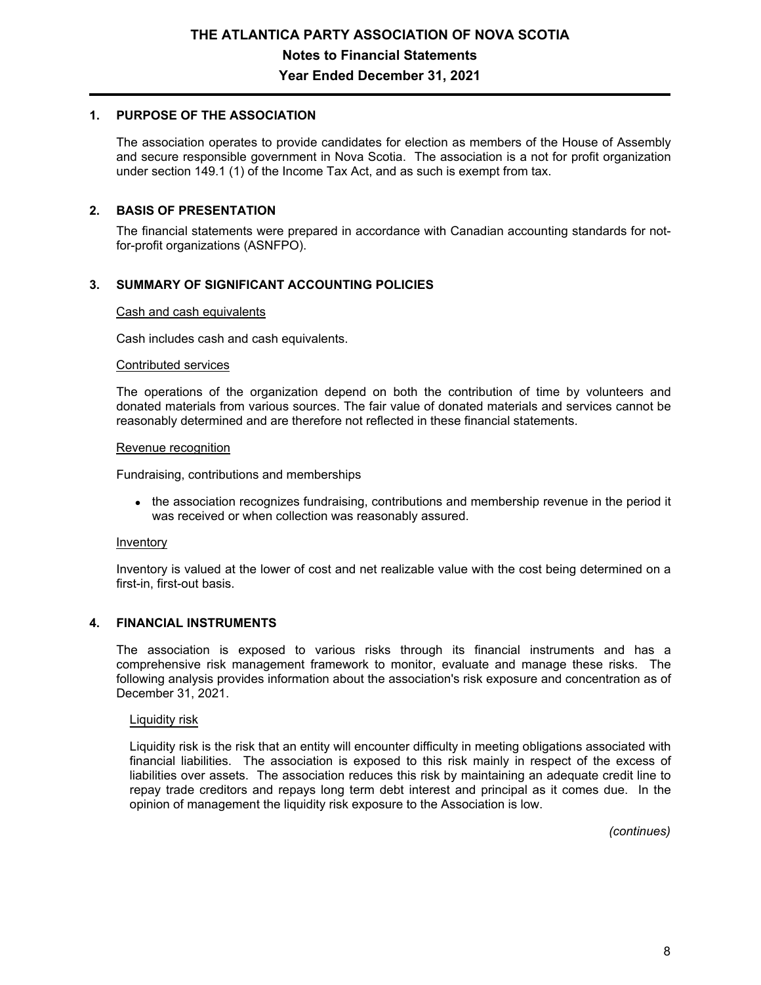### **1. PURPOSE OF THE ASSOCIATION**

The association operates to provide candidates for election as members of the House of Assembly and secure responsible government in Nova Scotia. The association is a not for profit organization under section 149.1 (1) of the Income Tax Act, and as such is exempt from tax.

### **2. BASIS OF PRESENTATION**

The financial statements were prepared in accordance with Canadian accounting standards for notfor-profit organizations (ASNFPO).

## **3. SUMMARY OF SIGNIFICANT ACCOUNTING POLICIES**

#### Cash and cash equivalents

Cash includes cash and cash equivalents.

#### Contributed services

The operations of the organization depend on both the contribution of time by volunteers and donated materials from various sources. The fair value of donated materials and services cannot be reasonably determined and are therefore not reflected in these financial statements.

#### Revenue recognition

Fundraising, contributions and memberships

• the association recognizes fundraising, contributions and membership revenue in the period it was received or when collection was reasonably assured.

#### Inventory

Inventory is valued at the lower of cost and net realizable value with the cost being determined on a first-in, first-out basis.

### **4. FINANCIAL INSTRUMENTS**

The association is exposed to various risks through its financial instruments and has a comprehensive risk management framework to monitor, evaluate and manage these risks. The following analysis provides information about the association's risk exposure and concentration as of December 31, 2021.

#### Liquidity risk

Liquidity risk is the risk that an entity will encounter difficulty in meeting obligations associated with financial liabilities. The association is exposed to this risk mainly in respect of the excess of liabilities over assets. The association reduces this risk by maintaining an adequate credit line to repay trade creditors and repays long term debt interest and principal as it comes due. In the opinion of management the liquidity risk exposure to the Association is low.

*(continues)*